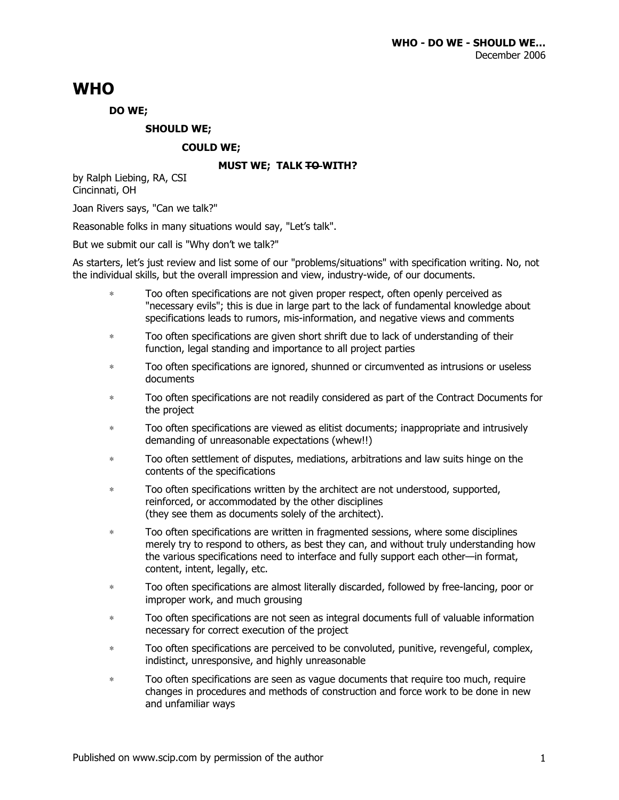# **WHO**

## **DO WE;**

## **SHOULD WE;**

### **COULD WE;**

### **MUST WE; TALK TO WITH?**

by Ralph Liebing, RA, CSI Cincinnati, OH

Joan Rivers says, "Can we talk?"

Reasonable folks in many situations would say, "Let's talk".

But we submit our call is "Why don't we talk?"

As starters, let's just review and list some of our "problems/situations" with specification writing. No, not the individual skills, but the overall impression and view, industry-wide, of our documents.

- ∗ Too often specifications are not given proper respect, often openly perceived as "necessary evils"; this is due in large part to the lack of fundamental knowledge about specifications leads to rumors, mis-information, and negative views and comments
- ∗ Too often specifications are given short shrift due to lack of understanding of their function, legal standing and importance to all project parties
- ∗ Too often specifications are ignored, shunned or circumvented as intrusions or useless documents
- ∗ Too often specifications are not readily considered as part of the Contract Documents for the project
- ∗ Too often specifications are viewed as elitist documents; inappropriate and intrusively demanding of unreasonable expectations (whew!!)
- ∗ Too often settlement of disputes, mediations, arbitrations and law suits hinge on the contents of the specifications
- ∗ Too often specifications written by the architect are not understood, supported, reinforced, or accommodated by the other disciplines (they see them as documents solely of the architect).
- ∗ Too often specifications are written in fragmented sessions, where some disciplines merely try to respond to others, as best they can, and without truly understanding how the various specifications need to interface and fully support each other—in format, content, intent, legally, etc.
- ∗ Too often specifications are almost literally discarded, followed by free-lancing, poor or improper work, and much grousing
- ∗ Too often specifications are not seen as integral documents full of valuable information necessary for correct execution of the project
- ∗ Too often specifications are perceived to be convoluted, punitive, revengeful, complex, indistinct, unresponsive, and highly unreasonable
- ∗ Too often specifications are seen as vague documents that require too much, require changes in procedures and methods of construction and force work to be done in new and unfamiliar ways